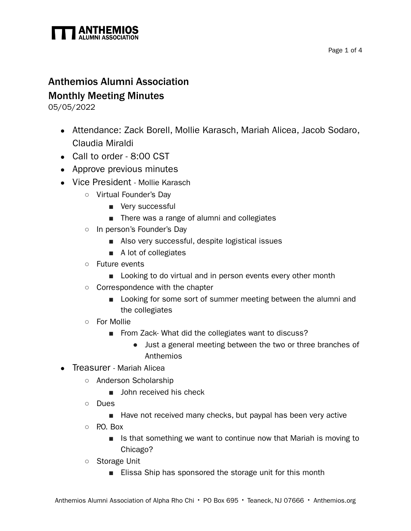

## Anthemios Alumni Association Monthly Meeting Minutes

05/05/2022

- Attendance: Zack Borell, Mollie Karasch, Mariah Alicea, Jacob Sodaro, Claudia Miraldi
- Call to order 8:00 CST
- Approve previous minutes
- Vice President Mollie Karasch
	- Virtual Founder's Day
		- Very successful
		- There was a range of alumni and collegiates
	- In person's Founder's Day
		- Also very successful, despite logistical issues
		- A lot of collegiates
	- Future events
		- Looking to do virtual and in person events every other month
	- Correspondence with the chapter
		- Looking for some sort of summer meeting between the alumni and the collegiates
	- For Mollie
		- From Zack- What did the collegiates want to discuss?
			- Just a general meeting between the two or three branches of Anthemios
- Treasurer Mariah Alicea
	- Anderson Scholarship
		- John received his check
	- Dues
		- Have not received many checks, but paypal has been very active
	- $\circ$  P.O. Box
		- Is that something we want to continue now that Mariah is moving to Chicago?
	- Storage Unit
		- Elissa Ship has sponsored the storage unit for this month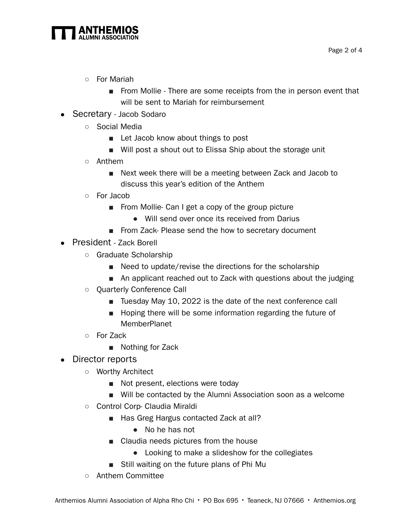

- For Mariah
	- From Mollie There are some receipts from the in person event that will be sent to Mariah for reimbursement
- Secretary Jacob Sodaro
	- Social Media
		- Let Jacob know about things to post
		- Will post a shout out to Elissa Ship about the storage unit
	- Anthem
		- Next week there will be a meeting between Zack and Jacob to discuss this year's edition of the Anthem
	- For Jacob
		- From Mollie- Can I get a copy of the group picture
			- Will send over once its received from Darius
		- From Zack-Please send the how to secretary document
- President Zack Borell
	- Graduate Scholarship
		- Need to update/revise the directions for the scholarship
		- An applicant reached out to Zack with questions about the judging
	- Quarterly Conference Call
		- Tuesday May 10, 2022 is the date of the next conference call
		- Hoping there will be some information regarding the future of MemberPlanet
	- For Zack
		- Nothing for Zack
- Director reports
	- Worthy Architect
		- Not present, elections were today
		- Will be contacted by the Alumni Association soon as a welcome
	- Control Corp- Claudia Miraldi
		- Has Greg Hargus contacted Zack at all?
			- No he has not
		- Claudia needs pictures from the house
			- Looking to make a slideshow for the collegiates
		- Still waiting on the future plans of Phi Mu
	- Anthem Committee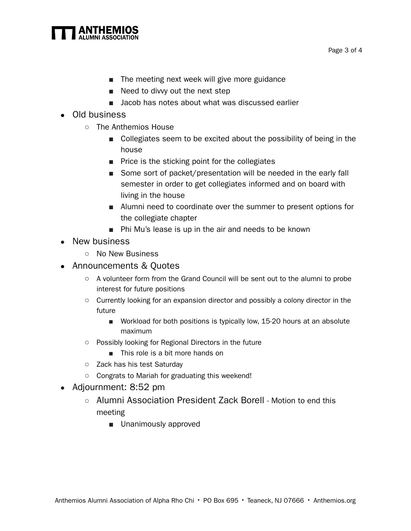

- The meeting next week will give more guidance
- Need to divvy out the next step
- Jacob has notes about what was discussed earlier
- Old business
	- The Anthemios House
		- Collegiates seem to be excited about the possibility of being in the house
		- Price is the sticking point for the collegiates
		- Some sort of packet/presentation will be needed in the early fall semester in order to get collegiates informed and on board with living in the house
		- Alumni need to coordinate over the summer to present options for the collegiate chapter
		- Phi Mu's lease is up in the air and needs to be known
- New business
	- No New Business
- Announcements & Quotes
	- A volunteer form from the Grand Council will be sent out to the alumni to probe interest for future positions
	- Currently looking for an expansion director and possibly a colony director in the future
		- Workload for both positions is typically low, 15-20 hours at an absolute maximum
	- Possibly looking for Regional Directors in the future
		- This role is a bit more hands on
	- Zack has his test Saturday
	- Congrats to Mariah for graduating this weekend!
- Adjournment: 8:52 pm
	- Alumni Association President Zack Borell Motion to end this meeting
		- Unanimously approved